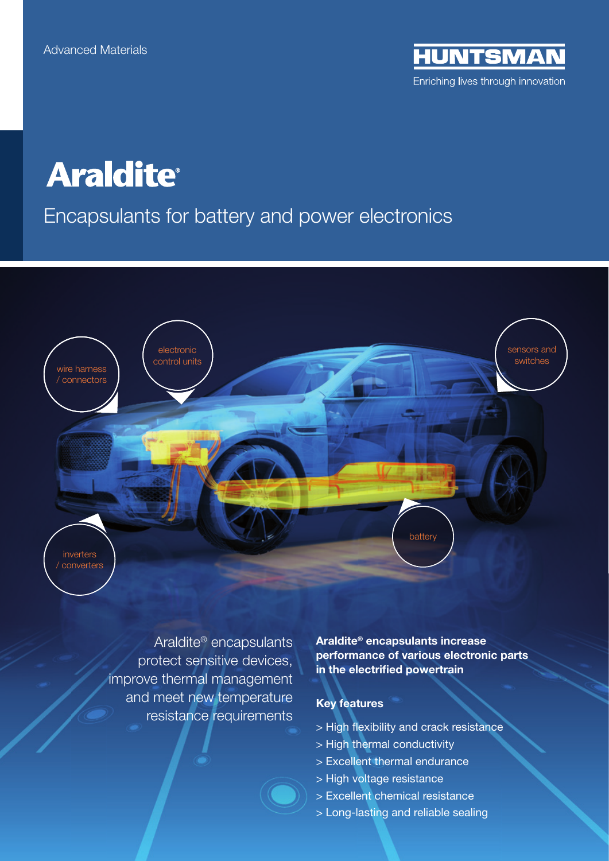**IUNTSMAN** Enriching lives through innovation

# **Araldite®**

## Encapsulants for battery and power electronics



Araldite® encapsulants protect sensitive devices, improve thermal management and meet new temperature resistance requirements

Araldite® encapsulants increase performance of various electronic parts in the electrified powertrain

#### Key features

- > High flexibility and crack resistance
- > High thermal conductivity
- > Excellent thermal endurance
- > High voltage resistance
- > Excellent chemical resistance
- > Long-lasting and reliable sealing